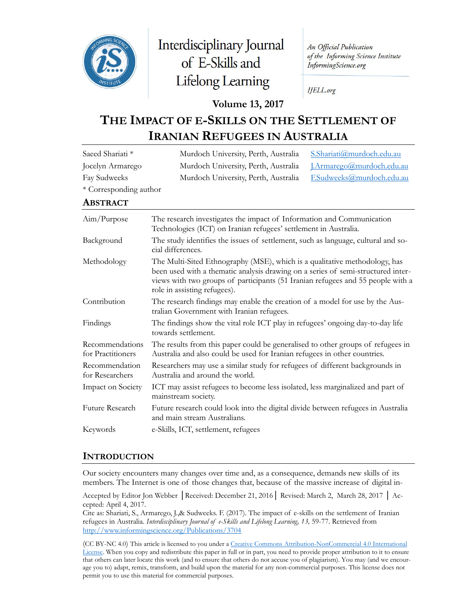

# Interdisciplinary Journal of E-Skills and **Lifelong Learning**

An Official Publication of the Informing Science Institute InformingScience.org

**IJELL.org** 

**Volume 13, 2017**

## **THE IMPACT OF E-SKILLS ON THE SETTLEMENT OF IRANIAN REFUGEES IN AUSTRALIA**

| Saeed Shariati <sup>*</sup> | Murdoch University, Perth, Australia                                  | S.Shariati@murdoch.edu.au        |
|-----------------------------|-----------------------------------------------------------------------|----------------------------------|
| Jocelyn Armarego            | Murdoch University, Perth, Australia                                  | <u>J.Armarego@murdoch.edu.au</u> |
| Fay Sudweeks                | Murdoch University, Perth, Australia                                  | F.Sudweeks@murdoch.edu.au        |
| * Corresponding author      |                                                                       |                                  |
| <b>ABSTRACT</b>             |                                                                       |                                  |
| $\lim$ Durage               | The research investigates the impact of Information and Communication |                                  |

| Aim/Purpose                          | The research investigates the impact of Information and Communication<br>Technologies (ICT) on Iranian refugees' settlement in Australia.                                                                                                                                         |
|--------------------------------------|-----------------------------------------------------------------------------------------------------------------------------------------------------------------------------------------------------------------------------------------------------------------------------------|
| Background                           | The study identifies the issues of settlement, such as language, cultural and so-<br>cial differences.                                                                                                                                                                            |
| Methodology                          | The Multi-Sited Ethnography (MSE), which is a qualitative methodology, has<br>been used with a thematic analysis drawing on a series of semi-structured inter-<br>views with two groups of participants (51 Iranian refugees and 55 people with a<br>role in assisting refugees). |
| Contribution                         | The research findings may enable the creation of a model for use by the Aus-<br>tralian Government with Iranian refugees.                                                                                                                                                         |
| Findings                             | The findings show the vital role ICT play in refugees' ongoing day-to-day life<br>towards settlement.                                                                                                                                                                             |
| Recommendations<br>for Practitioners | The results from this paper could be generalised to other groups of refugees in<br>Australia and also could be used for Iranian refugees in other countries.                                                                                                                      |
| Recommendation<br>for Researchers    | Researchers may use a similar study for refugees of different backgrounds in<br>Australia and around the world.                                                                                                                                                                   |
| Impact on Society                    | ICT may assist refugees to become less isolated, less marginalized and part of<br>mainstream society.                                                                                                                                                                             |
| Future Research                      | Future research could look into the digital divide between refugees in Australia<br>and main stream Australians.                                                                                                                                                                  |
| Keywords                             | e-Skills, ICT, settlement, refugees                                                                                                                                                                                                                                               |
|                                      |                                                                                                                                                                                                                                                                                   |

## **INTRODUCTION**

Our society encounters many changes over time and, as a consequence, demands new skills of its members. The Internet is one of those changes that, because of the massive increase of digital in-

Accepted by Editor Jon Webber │Received: December 21, 2016│ Revised: March 2, March 28, 2017 │ Accepted: April 4, 2017.

Cite as: Shariati, S., Armarego, J.,& Sudweeks. F. (2017). The impact of e-skills on the settlement of Iranian refugees in Australia. *Interdisciplinary Journal of e-Skills and Lifelong Learning, 13,* 59-77. Retrieved from [http://www.informingscience.org/Publications/](http://www.informingscience.org/Publications/3704)3704

(CC BY-NC 4.0) This article is licensed to you under a Creative Commons Attribution-[NonCommercial 4.0 International](https://creativecommons.org/licenses/by-nc/4.0/)  [License.](https://creativecommons.org/licenses/by-nc/4.0/) When you copy and redistribute this paper in full or in part, you need to provide proper attribution to it to ensure that others can later locate this work (and to ensure that others do not accuse you of plagiarism). You may (and we encourage you to) adapt, remix, transform, and build upon the material for any non-commercial purposes. This license does not permit you to use this material for commercial purposes.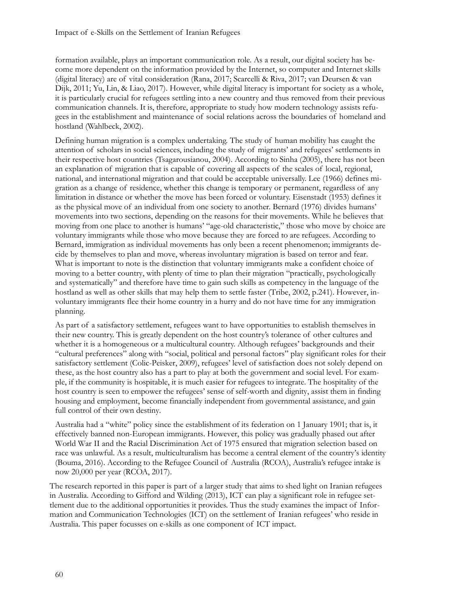formation available, plays an important communication role. As a result, our digital society has become more dependent on the information provided by the Internet, so computer and Internet skills (digital literacy) are of vital consideration (Rana, 2017; Scarcelli & Riva, 2017; van Deursen & van Dijk, 2011; Yu, Lin, & Liao, 2017). However, while digital literacy is important for society as a whole, it is particularly crucial for refugees settling into a new country and thus removed from their previous communication channels. It is, therefore, appropriate to study how modern technology assists refugees in the establishment and maintenance of social relations across the boundaries of homeland and hostland (Wahlbeck, 2002).

Defining human migration is a complex undertaking. The study of human mobility has caught the attention of scholars in social sciences, including the study of migrants' and refugees' settlements in their respective host countries (Tsagarousianou, 2004). According to Sinha (2005), there has not been an explanation of migration that is capable of covering all aspects of the scales of local, regional, national, and international migration and that could be acceptable universally. Lee (1966) defines migration as a change of residence, whether this change is temporary or permanent, regardless of any limitation in distance or whether the move has been forced or voluntary. Eisenstadt (1953) defines it as the physical move of an individual from one society to another. Bernard (1976) divides humans' movements into two sections, depending on the reasons for their movements. While he believes that moving from one place to another is humans' "age-old characteristic," those who move by choice are voluntary immigrants while those who move because they are forced to are refugees. According to Bernard, immigration as individual movements has only been a recent phenomenon; immigrants decide by themselves to plan and move, whereas involuntary migration is based on terror and fear. What is important to note is the distinction that voluntary immigrants make a confident choice of moving to a better country, with plenty of time to plan their migration "practically, psychologically and systematically" and therefore have time to gain such skills as competency in the language of the hostland as well as other skills that may help them to settle faster (Tribe, 2002, p.241). However, involuntary immigrants flee their home country in a hurry and do not have time for any immigration planning.

As part of a satisfactory settlement, refugees want to have opportunities to establish themselves in their new country. This is greatly dependent on the host country's tolerance of other cultures and whether it is a homogeneous or a multicultural country. Although refugees' backgrounds and their "cultural preferences" along with "social, political and personal factors" play significant roles for their satisfactory settlement (Colic-Peisker, 2009), refugees' level of satisfaction does not solely depend on these, as the host country also has a part to play at both the government and social level. For example, if the community is hospitable, it is much easier for refugees to integrate. The hospitality of the host country is seen to empower the refugees' sense of self-worth and dignity, assist them in finding housing and employment, become financially independent from governmental assistance, and gain full control of their own destiny.

Australia had a "white" policy since the establishment of its federation on 1 January 1901; that is, it effectively banned non-European immigrants. However, this policy was gradually phased out after World War II and the Racial Discrimination Act of 1975 ensured that migration selection based on race was unlawful. As a result, multiculturalism has become a central element of the country's identity (Bouma, 2016). According to the Refugee Council of Australia (RCOA), Australia's refugee intake is now 20,000 per year (RCOA, 2017).

The research reported in this paper is part of a larger study that aims to shed light on Iranian refugees in Australia. According to Gifford and Wilding (2013), ICT can play a significant role in refugee settlement due to the additional opportunities it provides. Thus the study examines the impact of Information and Communication Technologies (ICT) on the settlement of Iranian refugees' who reside in Australia. This paper focusses on e-skills as one component of ICT impact.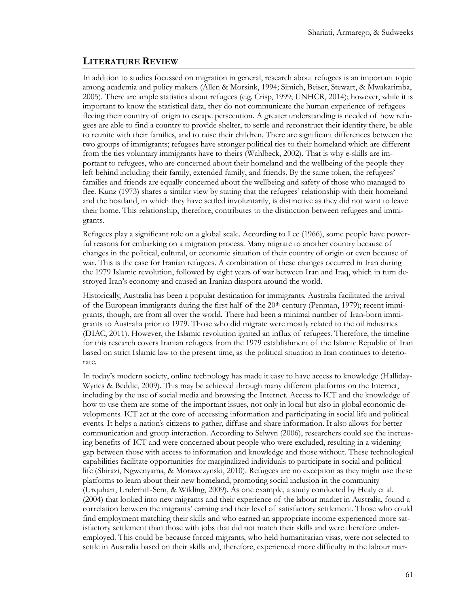#### **LITERATURE REVIEW**

In addition to studies focussed on migration in general, research about refugees is an important topic among academia and policy makers (Allen & Morsink, 1994; Simich, Beiser, Stewart, & Mwakarimba, 2005). There are ample statistics about refugees (e.g. Crisp, 1999; UNHCR, 2014); however, while it is important to know the statistical data, they do not communicate the human experience of refugees fleeing their country of origin to escape persecution. A greater understanding is needed of how refugees are able to find a country to provide shelter, to settle and reconstruct their identity there, be able to reunite with their families, and to raise their children. There are significant differences between the two groups of immigrants; refugees have stronger political ties to their homeland which are different from the ties voluntary immigrants have to theirs (Wahlbeck, 2002). That is why e-skills are important to refugees, who are concerned about their homeland and the wellbeing of the people they left behind including their family, extended family, and friends. By the same token, the refugees' families and friends are equally concerned about the wellbeing and safety of those who managed to flee. Kunz (1973) shares a similar view by stating that the refugees' relationship with their homeland and the hostland, in which they have settled involuntarily, is distinctive as they did not want to leave their home. This relationship, therefore, contributes to the distinction between refugees and immigrants.

Refugees play a significant role on a global scale. According to Lee (1966), some people have powerful reasons for embarking on a migration process. Many migrate to another country because of changes in the political, cultural, or economic situation of their country of origin or even because of war. This is the case for Iranian refugees. A combination of these changes occurred in Iran during the 1979 Islamic revolution, followed by eight years of war between Iran and Iraq, which in turn destroyed Iran's economy and caused an Iranian diaspora around the world.

Historically, Australia has been a popular destination for immigrants. Australia facilitated the arrival of the European immigrants during the first half of the 20th century (Penman, 1979); recent immigrants, though, are from all over the world. There had been a minimal number of Iran-born immigrants to Australia prior to 1979. Those who did migrate were mostly related to the oil industries (DIAC, 2011). However, the Islamic revolution ignited an influx of refugees. Therefore, the timeline for this research covers Iranian refugees from the 1979 establishment of the Islamic Republic of Iran based on strict Islamic law to the present time, as the political situation in Iran continues to deteriorate.

In today's modern society, online technology has made it easy to have access to knowledge (Halliday-Wynes & Beddie, 2009). This may be achieved through many different platforms on the Internet, including by the use of social media and browsing the Internet. Access to ICT and the knowledge of how to use them are some of the important issues, not only in local but also in global economic developments. ICT act at the core of accessing information and participating in social life and political events. It helps a nation's citizens to gather, diffuse and share information. It also allows for better communication and group interaction. According to Selwyn (2006), researchers could see the increasing benefits of ICT and were concerned about people who were excluded, resulting in a widening gap between those with access to information and knowledge and those without. These technological capabilities facilitate opportunities for marginalized individuals to participate in social and political life (Shirazi, Ngwenyama, & Morawczynski, 2010). Refugees are no exception as they might use these platforms to learn about their new homeland, promoting social inclusion in the community (Urquhart, Underhill-Sem, & Wilding, 2009). As one example, a study conducted by Healy et al. (2004) that looked into new migrants and their experience of the labour market in Australia, found a correlation between the migrants' earning and their level of satisfactory settlement. Those who could find employment matching their skills and who earned an appropriate income experienced more satisfactory settlement than those with jobs that did not match their skills and were therefore underemployed. This could be because forced migrants, who held humanitarian visas, were not selected to settle in Australia based on their skills and, therefore, experienced more difficulty in the labour mar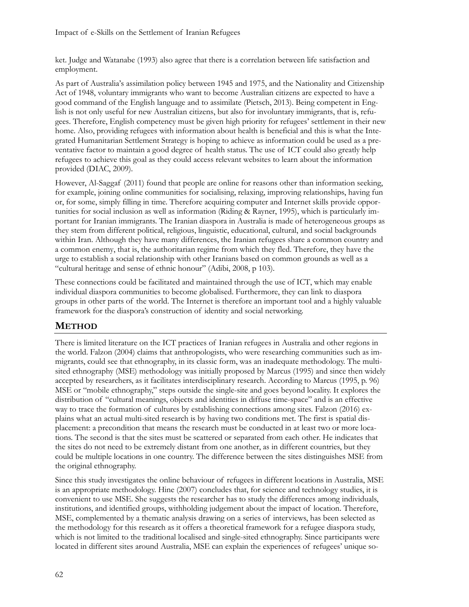ket. Judge and Watanabe (1993) also agree that there is a correlation between life satisfaction and employment.

As part of Australia's assimilation policy between 1945 and 1975, and the Nationality and Citizenship Act of 1948, voluntary immigrants who want to become Australian citizens are expected to have a good command of the English language and to assimilate (Pietsch, 2013). Being competent in English is not only useful for new Australian citizens, but also for involuntary immigrants, that is, refugees. Therefore, English competency must be given high priority for refugees' settlement in their new home. Also, providing refugees with information about health is beneficial and this is what the Integrated Humanitarian Settlement Strategy is hoping to achieve as information could be used as a preventative factor to maintain a good degree of health status. The use of ICT could also greatly help refugees to achieve this goal as they could access relevant websites to learn about the information provided (DIAC, 2009).

However, Al-Saggaf (2011) found that people are online for reasons other than information seeking, for example, joining online communities for socialising, relaxing, improving relationships, having fun or, for some, simply filling in time. Therefore acquiring computer and Internet skills provide opportunities for social inclusion as well as information (Riding & Rayner, 1995), which is particularly important for Iranian immigrants. The Iranian diaspora in Australia is made of heterogeneous groups as they stem from different political, religious, linguistic, educational, cultural, and social backgrounds within Iran. Although they have many differences, the Iranian refugees share a common country and a common enemy, that is, the authoritarian regime from which they fled. Therefore, they have the urge to establish a social relationship with other Iranians based on common grounds as well as a "cultural heritage and sense of ethnic honour" (Adibi, 2008, p 103).

These connections could be facilitated and maintained through the use of ICT, which may enable individual diaspora communities to become globalised. Furthermore, they can link to diaspora groups in other parts of the world. The Internet is therefore an important tool and a highly valuable framework for the diaspora's construction of identity and social networking.

## **METHOD**

There is limited literature on the ICT practices of Iranian refugees in Australia and other regions in the world. Falzon (2004) claims that anthropologists, who were researching communities such as immigrants, could see that ethnography, in its classic form, was an inadequate methodology. The multisited ethnography (MSE) methodology was initially proposed by Marcus (1995) and since then widely accepted by researchers, as it facilitates interdisciplinary research. According to Marcus (1995, p. 96) MSE or "mobile ethnography," steps outside the single-site and goes beyond locality. It explores the distribution of "cultural meanings, objects and identities in diffuse time-space" and is an effective way to trace the formation of cultures by establishing connections among sites. Falzon (2016) explains what an actual multi-sited research is by having two conditions met. The first is spatial displacement: a precondition that means the research must be conducted in at least two or more locations. The second is that the sites must be scattered or separated from each other. He indicates that the sites do not need to be extremely distant from one another, as in different countries, but they could be multiple locations in one country. The difference between the sites distinguishes MSE from the original ethnography.

Since this study investigates the online behaviour of refugees in different locations in Australia, MSE is an appropriate methodology. Hine (2007) concludes that, for science and technology studies, it is convenient to use MSE. She suggests the researcher has to study the differences among individuals, institutions, and identified groups, withholding judgement about the impact of location. Therefore, MSE, complemented by a thematic analysis drawing on a series of interviews, has been selected as the methodology for this research as it offers a theoretical framework for a refugee diaspora study, which is not limited to the traditional localised and single-sited ethnography. Since participants were located in different sites around Australia, MSE can explain the experiences of refugees' unique so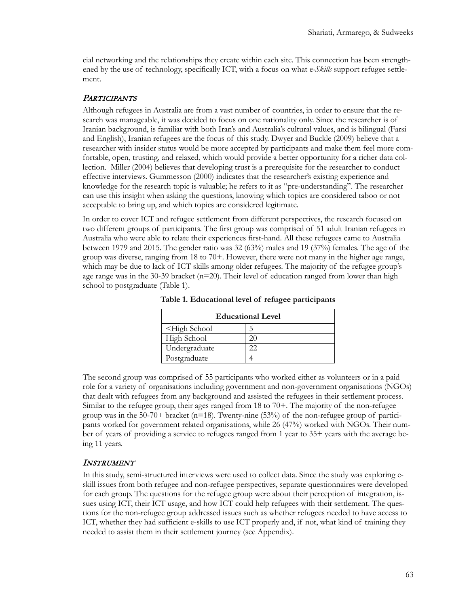cial networking and the relationships they create within each site. This connection has been strengthened by the use of technology, specifically ICT, with a focus on what e*-Skills* support refugee settlement.

## **PARTICIPANTS**

Although refugees in Australia are from a vast number of countries, in order to ensure that the research was manageable, it was decided to focus on one nationality only. Since the researcher is of Iranian background, is familiar with both Iran's and Australia's cultural values, and is bilingual (Farsi and English), Iranian refugees are the focus of this study. Dwyer and Buckle (2009) believe that a researcher with insider status would be more accepted by participants and make them feel more comfortable, open, trusting, and relaxed, which would provide a better opportunity for a richer data collection. Miller (2004) believes that developing trust is a prerequisite for the researcher to conduct effective interviews. Gummesson (2000) indicates that the researcher's existing experience and knowledge for the research topic is valuable; he refers to it as "pre-understanding". The researcher can use this insight when asking the questions, knowing which topics are considered taboo or not acceptable to bring up, and which topics are considered legitimate.

In order to cover ICT and refugee settlement from different perspectives, the research focused on two different groups of participants. The first group was comprised of 51 adult Iranian refugees in Australia who were able to relate their experiences first-hand. All these refugees came to Australia between 1979 and 2015. The gender ratio was 32 (63%) males and 19 (37%) females. The age of the group was diverse, ranging from 18 to 70+. However, there were not many in the higher age range, which may be due to lack of ICT skills among older refugees. The majority of the refugee group's age range was in the 30-39 bracket ( $n=20$ ). Their level of education ranged from lower than high school to postgraduate (Table 1).

| <b>Educational Level</b>                 |   |  |
|------------------------------------------|---|--|
| <high school<="" td=""><td>┑</td></high> | ┑ |  |
| High School                              |   |  |
| Undergraduate                            |   |  |
| Postgraduate                             |   |  |

**Table 1. Educational level of refugee participants**

The second group was comprised of 55 participants who worked either as volunteers or in a paid role for a variety of organisations including government and non-government organisations (NGOs) that dealt with refugees from any background and assisted the refugees in their settlement process. Similar to the refugee group, their ages ranged from 18 to 70+. The majority of the non-refugee group was in the 50-70+ bracket (n=18). Twenty-nine (53%) of the non-refugee group of participants worked for government related organisations, while 26 (47%) worked with NGOs. Their number of years of providing a service to refugees ranged from 1 year to 35+ years with the average being 11 years.

#### INSTRUMENT

In this study, semi-structured interviews were used to collect data. Since the study was exploring eskill issues from both refugee and non-refugee perspectives, separate questionnaires were developed for each group. The questions for the refugee group were about their perception of integration, issues using ICT, their ICT usage, and how ICT could help refugees with their settlement. The questions for the non-refugee group addressed issues such as whether refugees needed to have access to ICT, whether they had sufficient e-skills to use ICT properly and, if not, what kind of training they needed to assist them in their settlement journey (see Appendix).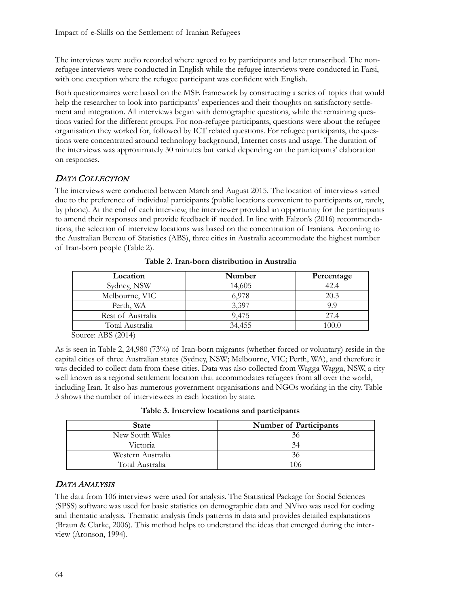The interviews were audio recorded where agreed to by participants and later transcribed. The nonrefugee interviews were conducted in English while the refugee interviews were conducted in Farsi, with one exception where the refugee participant was confident with English.

Both questionnaires were based on the MSE framework by constructing a series of topics that would help the researcher to look into participants' experiences and their thoughts on satisfactory settlement and integration. All interviews began with demographic questions, while the remaining questions varied for the different groups. For non-refugee participants, questions were about the refugee organisation they worked for, followed by ICT related questions. For refugee participants, the questions were concentrated around technology background, Internet costs and usage. The duration of the interviews was approximately 30 minutes but varied depending on the participants' elaboration on responses.

## DATA COLLECTION

The interviews were conducted between March and August 2015. The location of interviews varied due to the preference of individual participants (public locations convenient to participants or, rarely, by phone). At the end of each interview, the interviewer provided an opportunity for the participants to amend their responses and provide feedback if needed. In line with Falzon's (2016) recommendations, the selection of interview locations was based on the concentration of Iranians. According to the Australian Bureau of Statistics (ABS), three cities in Australia accommodate the highest number of Iran-born people (Table 2).

<span id="page-5-0"></span>

| Location          | Number | Percentage |
|-------------------|--------|------------|
| Sydney, NSW       | 14,605 | 42.4       |
| Melbourne, VIC    | 6.978  | 20.3       |
| Perth, WA         | 3,397  | 99         |
| Rest of Australia | 9.475  | 27.4       |
| Total Australia   | 34.455 | 100.0      |

**Table 2. Iran-born distribution in Australia**

Source: ABS (2014)

As is seen in [Table 2,](#page-5-0) 24,980 (73%) of Iran-born migrants (whether forced or voluntary) reside in the capital cities of three Australian states (Sydney, NSW; Melbourne, VIC; Perth, WA), and therefore it was decided to collect data from these cities. Data was also collected from Wagga Wagga, NSW, a city well known as a regional settlement location that accommodates refugees from all over the world, including Iran. It also has numerous government organisations and NGOs working in the city. [Table](#page-5-1)  [3](#page-5-1) shows the number of interviewees in each location by state.

<span id="page-5-1"></span>

| <b>State</b>      | <b>Number of Participants</b> |
|-------------------|-------------------------------|
| New South Wales   |                               |
| Victoria          |                               |
| Western Australia | 36                            |
| Total Australia   | 106                           |

## DATA ANALYSIS

The data from 106 interviews were used for analysis. The Statistical Package for Social Sciences (SPSS) software was used for basic statistics on demographic data and NVivo was used for coding and thematic analysis. Thematic analysis finds patterns in data and provides detailed explanations (Braun & Clarke, 2006). This method helps to understand the ideas that emerged during the interview (Aronson, 1994).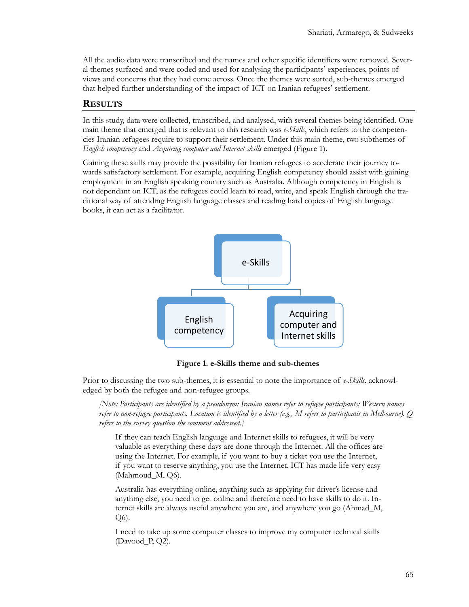All the audio data were transcribed and the names and other specific identifiers were removed. Several themes surfaced and were coded and used for analysing the participants' experiences, points of views and concerns that they had come across. Once the themes were sorted, sub-themes emerged that helped further understanding of the impact of ICT on Iranian refugees' settlement.

#### **RESULTS**

In this study, data were collected, transcribed, and analysed, with several themes being identified. One main theme that emerged that is relevant to this research was *e-Skills*, which refers to the competencies Iranian refugees require to support their settlement. Under this main theme, two subthemes of *English competency* and *Acquiring computer and Internet skills* emerged (Figure 1).

Gaining these skills may provide the possibility for Iranian refugees to accelerate their journey towards satisfactory settlement. For example, acquiring English competency should assist with gaining employment in an English speaking country such as Australia. Although competency in English is not dependant on ICT, as the refugees could learn to read, write, and speak English through the traditional way of attending English language classes and reading hard copies of English language books, it can act as a facilitator.



**Figure 1. e-Skills theme and sub-themes**

Prior to discussing the two sub-themes, it is essential to note the importance of *e-Skills*, acknowledged by both the refugee and non-refugee groups.

*[Note: Participants are identified by a pseudonym: Iranian names refer to refugee participants; Western names refer to non-refugee participants. Location is identified by a letter (e.g., M refers to participants in Melbourne). Q refers to the survey question the comment addressed.]*

If they can teach English language and Internet skills to refugees, it will be very valuable as everything these days are done through the Internet. All the offices are using the Internet. For example, if you want to buy a ticket you use the Internet, if you want to reserve anything, you use the Internet. ICT has made life very easy (Mahmoud\_M, Q6).

Australia has everything online, anything such as applying for driver's license and anything else, you need to get online and therefore need to have skills to do it. Internet skills are always useful anywhere you are, and anywhere you go (Ahmad\_M, Q6).

I need to take up some computer classes to improve my computer technical skills (Davood\_P, Q2).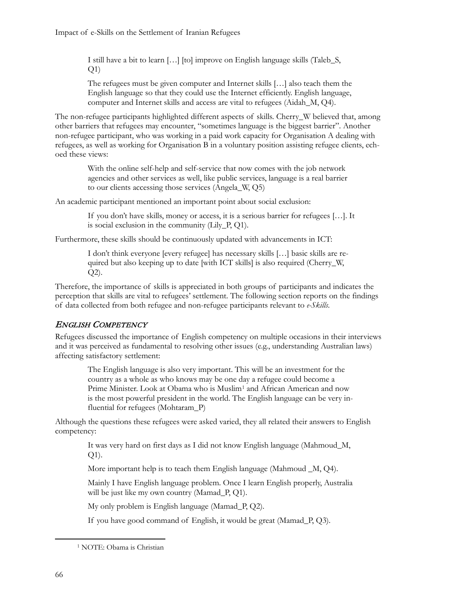I still have a bit to learn […] [to] improve on English language skills (Taleb\_S,  $Q1$ 

The refugees must be given computer and Internet skills […] also teach them the English language so that they could use the Internet efficiently. English language, computer and Internet skills and access are vital to refugees (Aidah\_M, Q4).

The non-refugee participants highlighted different aspects of skills. Cherry\_W believed that, among other barriers that refugees may encounter, "sometimes language is the biggest barrier". Another non-refugee participant, who was working in a paid work capacity for Organisation A dealing with refugees, as well as working for Organisation B in a voluntary position assisting refugee clients, echoed these views:

With the online self-help and self-service that now comes with the job network agencies and other services as well, like public services, language is a real barrier to our clients accessing those services (Angela\_W, Q5)

An academic participant mentioned an important point about social exclusion:

If you don't have skills, money or access, it is a serious barrier for refugees […]. It is social exclusion in the community (Lily\_P, Q1).

Furthermore, these skills should be continuously updated with advancements in ICT:

I don't think everyone [every refugee] has necessary skills […] basic skills are required but also keeping up to date [with ICT skills] is also required (Cherry\_W, Q2).

Therefore, the importance of skills is appreciated in both groups of participants and indicates the perception that skills are vital to refugees' settlement. The following section reports on the findings of data collected from both refugee and non-refugee participants relevant to *e-Skills*.

## ENGLISH COMPETENCY

Refugees discussed the importance of English competency on multiple occasions in their interviews and it was perceived as fundamental to resolving other issues (e.g., understanding Australian laws) affecting satisfactory settlement:

The English language is also very important. This will be an investment for the country as a whole as who knows may be one day a refugee could become a Prime Minister. Look at Obama who is Muslim<sup>[1](#page-7-0)</sup> and African American and now is the most powerful president in the world. The English language can be very influential for refugees (Mohtaram\_P)

Although the questions these refugees were asked varied, they all related their answers to English competency:

> It was very hard on first days as I did not know English language (Mahmoud\_M, Q1).

More important help is to teach them English language (Mahmoud \_M, Q4).

Mainly I have English language problem. Once I learn English properly, Australia will be just like my own country (Mamad\_P, Q1).

My only problem is English language (Mamad\_P, Q2).

If you have good command of English, it would be great (Mamad\_P, Q3).

<span id="page-7-0"></span>-

<sup>1</sup> NOTE: Obama is Christian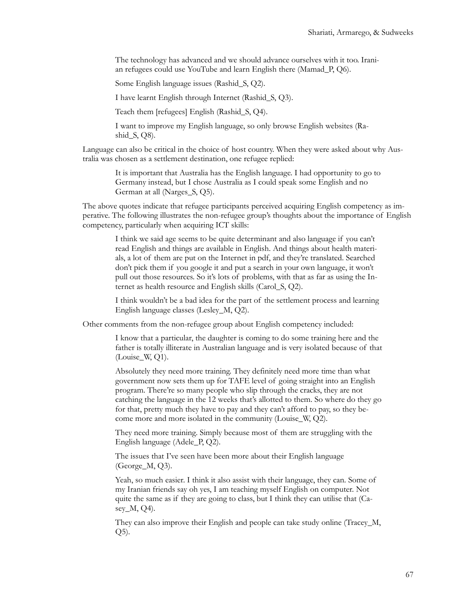The technology has advanced and we should advance ourselves with it too. Iranian refugees could use YouTube and learn English there (Mamad\_P, Q6).

Some English language issues (Rashid\_S, Q2).

I have learnt English through Internet (Rashid\_S, Q3).

Teach them [refugees] English (Rashid\_S, Q4).

I want to improve my English language, so only browse English websites (Rashid\_S, Q8).

Language can also be critical in the choice of host country. When they were asked about why Australia was chosen as a settlement destination, one refugee replied:

It is important that Australia has the English language. I had opportunity to go to Germany instead, but I chose Australia as I could speak some English and no German at all (Narges\_S, Q5).

The above quotes indicate that refugee participants perceived acquiring English competency as imperative. The following illustrates the non-refugee group's thoughts about the importance of English competency, particularly when acquiring ICT skills:

I think we said age seems to be quite determinant and also language if you can't read English and things are available in English. And things about health materials, a lot of them are put on the Internet in pdf, and they're translated. Searched don't pick them if you google it and put a search in your own language, it won't pull out those resources. So it's lots of problems, with that as far as using the Internet as health resource and English skills (Carol\_S, Q2).

I think wouldn't be a bad idea for the part of the settlement process and learning English language classes (Lesley\_M, Q2).

Other comments from the non-refugee group about English competency included:

I know that a particular, the daughter is coming to do some training here and the father is totally illiterate in Australian language and is very isolated because of that (Louise\_W, Q1).

Absolutely they need more training. They definitely need more time than what government now sets them up for TAFE level of going straight into an English program. There're so many people who slip through the cracks, they are not catching the language in the 12 weeks that's allotted to them. So where do they go for that, pretty much they have to pay and they can't afford to pay, so they become more and more isolated in the community (Louise\_W, Q2).

They need more training. Simply because most of them are struggling with the English language (Adele\_P, Q2).

The issues that I've seen have been more about their English language (George\_M, Q3).

Yeah, so much easier. I think it also assist with their language, they can. Some of my Iranian friends say oh yes, I am teaching myself English on computer. Not quite the same as if they are going to class, but I think they can utilise that (Casey M, O4).

They can also improve their English and people can take study online (Tracey\_M, Q5).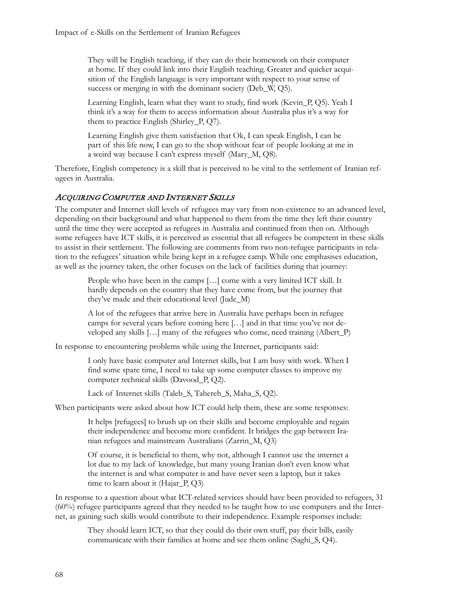They will be English teaching, if they can do their homework on their computer at home. If they could link into their English teaching. Greater and quicker acquisition of the English language is very important with respect to your sense of success or merging in with the dominant society (Deb\_W, Q5).

Learning English, learn what they want to study, find work (Kevin\_P, Q5). Yeah I think it's a way for them to access information about Australia plus it's a way for them to practice English (Shirley\_P, Q7).

Learning English give them satisfaction that Ok, I can speak English, I can be part of this life now, I can go to the shop without fear of people looking at me in a weird way because I can't express myself (Mary\_M, Q8).

Therefore, English competency is a skill that is perceived to be vital to the settlement of Iranian refugees in Australia.

### ACQUIRING COMPUTER AND INTERNET SKILLS

The computer and Internet skill levels of refugees may vary from non-existence to an advanced level, depending on their background and what happened to them from the time they left their country until the time they were accepted as refugees in Australia and continued from then on. Although some refugees have ICT skills, it is perceived as essential that all refugees be competent in these skills to assist in their settlement. The following are comments from two non-refugee participants in relation to the refugees' situation while being kept in a refugee camp. While one emphasises education, as well as the journey taken, the other focuses on the lack of facilities during that journey:

People who have been in the camps […] come with a very limited ICT skill. It hardly depends on the country that they have come from, but the journey that they've made and their educational level (Jude\_M)

A lot of the refugees that arrive here in Australia have perhaps been in refugee camps for several years before coming here […] and in that time you've not developed any skills […] many of the refugees who come, need training (Albert\_P)

In response to encountering problems while using the Internet, participants said:

I only have basic computer and Internet skills, but I am busy with work. When I find some spare time, I need to take up some computer classes to improve my computer technical skills (Davood\_P, Q2).

Lack of Internet skills (Taleb\_S, Tahereh\_S, Maha\_S, Q2).

When participants were asked about how ICT could help them, these are some responses:

It helps [refugees] to brush up on their skills and become employable and regain their independence and become more confident. It bridges the gap between Iranian refugees and mainstream Australians (Zarrin\_M, Q3)

Of course, it is beneficial to them, why not, although I cannot use the internet a lot due to my lack of knowledge, but many young Iranian don't even know what the internet is and what computer is and have never seen a laptop, but it takes time to learn about it (Hajar\_P, Q3)

In response to a question about what ICT-related services should have been provided to refugees, 31 (60%) refugee participants agreed that they needed to be taught how to use computers and the Internet, as gaining such skills would contribute to their independence. Example responses include:

They should learn ICT, so that they could do their own stuff, pay their bills, easily communicate with their families at home and see them online (Saghi\_S, Q4).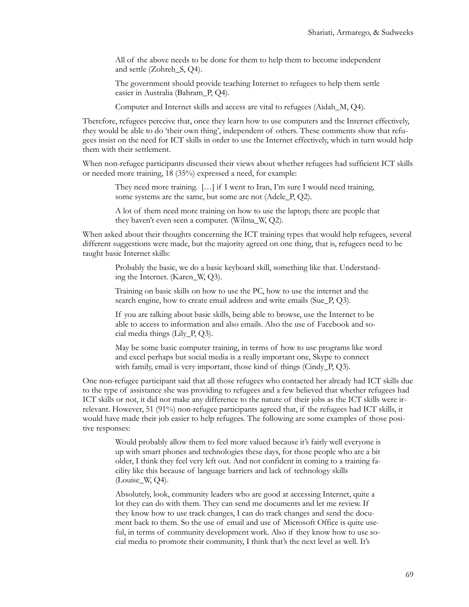All of the above needs to be done for them to help them to become independent and settle (Zohreh\_S, Q4).

The government should provide teaching Internet to refugees to help them settle easier in Australia (Bahram\_P, Q4).

Computer and Internet skills and access are vital to refugees (Aidah\_M, Q4).

Therefore, refugees perceive that, once they learn how to use computers and the Internet effectively, they would be able to do 'their own thing', independent of others. These comments show that refugees insist on the need for ICT skills in order to use the Internet effectively, which in turn would help them with their settlement.

When non-refugee participants discussed their views about whether refugees had sufficient ICT skills or needed more training, 18 (35%) expressed a need, for example:

They need more training. […] if I went to Iran, I'm sure I would need training, some systems are the same, but some are not (Adele P, O2).

A lot of them need more training on how to use the laptop; there are people that they haven't even seen a computer. (Wilma\_W, Q2).

When asked about their thoughts concerning the ICT training types that would help refugees, several different suggestions were made, but the majority agreed on one thing, that is, refugees need to be taught basic Internet skills:

Probably the basic, we do a basic keyboard skill, something like that. Understanding the Internet. (Karen\_W, Q3).

Training on basic skills on how to use the PC, how to use the internet and the search engine, how to create email address and write emails (Sue\_P, Q3).

If you are talking about basic skills, being able to browse, use the Internet to be able to access to information and also emails. Also the use of Facebook and social media things (Lily\_P, Q3).

May be some basic computer training, in terms of how to use programs like word and excel perhaps but social media is a really important one, Skype to connect with family, email is very important, those kind of things (Cindy\_P, Q3).

One non-refugee participant said that all those refugees who contacted her already had ICT skills due to the type of assistance she was providing to refugees and a few believed that whether refugees had ICT skills or not, it did not make any difference to the nature of their jobs as the ICT skills were irrelevant. However, 51 (91%) non-refugee participants agreed that, if the refugees had ICT skills, it would have made their job easier to help refugees. The following are some examples of those positive responses:

Would probably allow them to feel more valued because it's fairly well everyone is up with smart phones and technologies these days, for those people who are a bit older, I think they feel very left out. And not confident in coming to a training facility like this because of language barriers and lack of technology skills (Louise\_W, Q4).

Absolutely, look, community leaders who are good at accessing Internet, quite a lot they can do with them. They can send me documents and let me review. If they know how to use track changes, I can do track changes and send the document back to them. So the use of email and use of Microsoft Office is quite useful, in terms of community development work. Also if they know how to use social media to promote their community, I think that's the next level as well. It's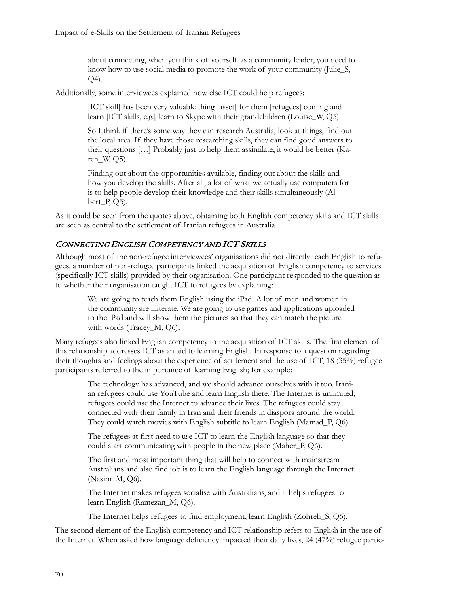about connecting, when you think of yourself as a community leader, you need to know how to use social media to promote the work of your community (Julie\_S, Q4).

Additionally, some interviewees explained how else ICT could help refugees:

[ICT skill] has been very valuable thing [asset] for them [refugees] coming and learn [ICT skills, e.g.] learn to Skype with their grandchildren (Louise W, Q5).

So I think if there's some way they can research Australia, look at things, find out the local area. If they have those researching skills, they can find good answers to their questions […] Probably just to help them assimilate, it would be better (Karen\_W, Q5).

Finding out about the opportunities available, finding out about the skills and how you develop the skills. After all, a lot of what we actually use computers for is to help people develop their knowledge and their skills simultaneously (Albert P, Q5).

As it could be seen from the quotes above, obtaining both English competency skills and ICT skills are seen as central to the settlement of Iranian refugees in Australia.

#### CONNECTING ENGLISH COMPETENCY AND ICT SKILLS

Although most of the non-refugee interviewees' organisations did not directly teach English to refugees, a number of non-refugee participants linked the acquisition of English competency to services (specifically ICT skills) provided by their organisation. One participant responded to the question as to whether their organisation taught ICT to refugees by explaining:

We are going to teach them English using the iPad. A lot of men and women in the community are illiterate. We are going to use games and applications uploaded to the iPad and will show them the pictures so that they can match the picture with words (Tracey M, Q6).

Many refugees also linked English competency to the acquisition of ICT skills. The first element of this relationship addresses ICT as an aid to learning English. In response to a question regarding their thoughts and feelings about the experience of settlement and the use of ICT, 18 (35%) refugee participants referred to the importance of learning English; for example:

The technology has advanced, and we should advance ourselves with it too. Iranian refugees could use YouTube and learn English there. The Internet is unlimited; refugees could use the Internet to advance their lives. The refugees could stay connected with their family in Iran and their friends in diaspora around the world. They could watch movies with English subtitle to learn English (Mamad\_P, Q6).

The refugees at first need to use ICT to learn the English language so that they could start communicating with people in the new place (Maher\_P, Q6).

The first and most important thing that will help to connect with mainstream Australians and also find job is to learn the English language through the Internet (Nasim\_M, Q6).

The Internet makes refugees socialise with Australians, and it helps refugees to learn English (Ramezan\_M, Q6).

The Internet helps refugees to find employment, learn English (Zohreh\_S, Q6).

The second element of the English competency and ICT relationship refers to English in the use of the Internet. When asked how language deficiency impacted their daily lives, 24 (47%) refugee partic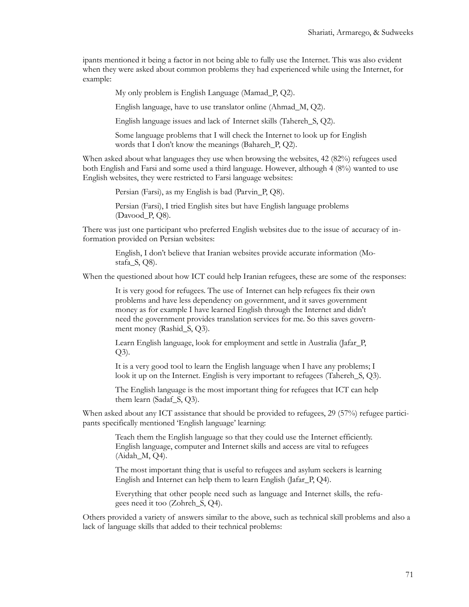ipants mentioned it being a factor in not being able to fully use the Internet. This was also evident when they were asked about common problems they had experienced while using the Internet, for example:

My only problem is English Language (Mamad\_P, Q2).

English language, have to use translator online (Ahmad\_M, Q2).

English language issues and lack of Internet skills (Tahereh\_S, Q2).

Some language problems that I will check the Internet to look up for English words that I don't know the meanings (Bahareh\_P, Q2).

When asked about what languages they use when browsing the websites, 42 (82%) refugees used both English and Farsi and some used a third language. However, although 4 (8%) wanted to use English websites, they were restricted to Farsi language websites:

Persian (Farsi), as my English is bad (Parvin\_P, Q8).

Persian (Farsi), I tried English sites but have English language problems (Davood\_P, Q8).

There was just one participant who preferred English websites due to the issue of accuracy of information provided on Persian websites:

> English, I don't believe that Iranian websites provide accurate information (Mostafa\_S, Q8).

When the questioned about how ICT could help Iranian refugees, these are some of the responses:

It is very good for refugees. The use of Internet can help refugees fix their own problems and have less dependency on government, and it saves government money as for example I have learned English through the Internet and didn't need the government provides translation services for me. So this saves government money (Rashid\_S, Q3).

Learn English language, look for employment and settle in Australia (Jafar\_P, Q3).

It is a very good tool to learn the English language when I have any problems; I look it up on the Internet. English is very important to refugees (Tahereh S, Q3).

The English language is the most important thing for refugees that ICT can help them learn (Sadaf\_S, Q3).

When asked about any ICT assistance that should be provided to refugees, 29 (57%) refugee participants specifically mentioned 'English language' learning:

> Teach them the English language so that they could use the Internet efficiently. English language, computer and Internet skills and access are vital to refugees (Aidah\_M, Q4).

The most important thing that is useful to refugees and asylum seekers is learning English and Internet can help them to learn English (Jafar\_P, Q4).

Everything that other people need such as language and Internet skills, the refugees need it too (Zohreh\_S, Q4).

Others provided a variety of answers similar to the above, such as technical skill problems and also a lack of language skills that added to their technical problems: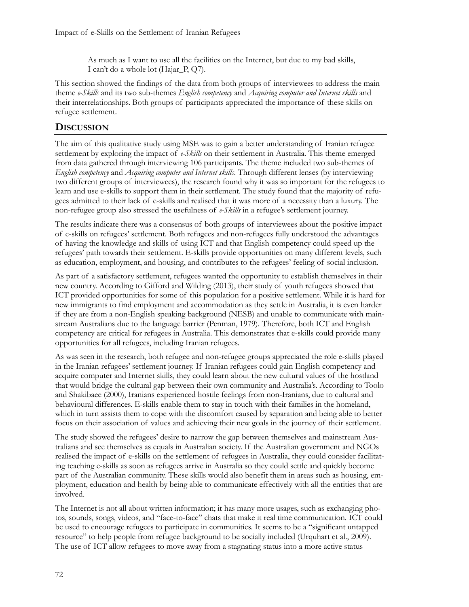As much as I want to use all the facilities on the Internet, but due to my bad skills, I can't do a whole lot (Hajar\_P, Q7).

This section showed the findings of the data from both groups of interviewees to address the main theme *e-Skills* and its two sub-themes *English competency* and *Acquiring computer and Internet skills* and their interrelationships. Both groups of participants appreciated the importance of these skills on refugee settlement.

## **DISCUSSION**

The aim of this qualitative study using MSE was to gain a better understanding of Iranian refugee settlement by exploring the impact of *e-Skills* on their settlement in Australia. This theme emerged from data gathered through interviewing 106 participants. The theme included two sub-themes of *English competency* and *Acquiring computer and Internet skills*. Through different lenses (by interviewing two different groups of interviewees), the research found why it was so important for the refugees to learn and use e-skills to support them in their settlement. The study found that the majority of refugees admitted to their lack of e-skills and realised that it was more of a necessity than a luxury. The non-refugee group also stressed the usefulness of *e-Skills* in a refugee's settlement journey.

The results indicate there was a consensus of both groups of interviewees about the positive impact of e-skills on refugees' settlement. Both refugees and non-refugees fully understood the advantages of having the knowledge and skills of using ICT and that English competency could speed up the refugees' path towards their settlement. E-skills provide opportunities on many different levels, such as education, employment, and housing, and contributes to the refugees' feeling of social inclusion.

As part of a satisfactory settlement, refugees wanted the opportunity to establish themselves in their new country. According to Gifford and Wilding (2013), their study of youth refugees showed that ICT provided opportunities for some of this population for a positive settlement. While it is hard for new immigrants to find employment and accommodation as they settle in Australia, it is even harder if they are from a non-English speaking background (NESB) and unable to communicate with mainstream Australians due to the language barrier (Penman, 1979). Therefore, both ICT and English competency are critical for refugees in Australia. This demonstrates that e-skills could provide many opportunities for all refugees, including Iranian refugees.

As was seen in the research, both refugee and non-refugee groups appreciated the role e-skills played in the Iranian refugees' settlement journey. If Iranian refugees could gain English competency and acquire computer and Internet skills, they could learn about the new cultural values of the hostland that would bridge the cultural gap between their own community and Australia's. According to Toolo and Shakibaee (2000), Iranians experienced hostile feelings from non-Iranians, due to cultural and behavioural differences. E-skills enable them to stay in touch with their families in the homeland, which in turn assists them to cope with the discomfort caused by separation and being able to better focus on their association of values and achieving their new goals in the journey of their settlement.

The study showed the refugees' desire to narrow the gap between themselves and mainstream Australians and see themselves as equals in Australian society. If the Australian government and NGOs realised the impact of e-skills on the settlement of refugees in Australia, they could consider facilitating teaching e-skills as soon as refugees arrive in Australia so they could settle and quickly become part of the Australian community. These skills would also benefit them in areas such as housing, employment, education and health by being able to communicate effectively with all the entities that are involved.

The Internet is not all about written information; it has many more usages, such as exchanging photos, sounds, songs, videos, and "face-to-face" chats that make it real time communication. ICT could be used to encourage refugees to participate in communities. It seems to be a "significant untapped resource" to help people from refugee background to be socially included (Urquhart et al., 2009). The use of ICT allow refugees to move away from a stagnating status into a more active status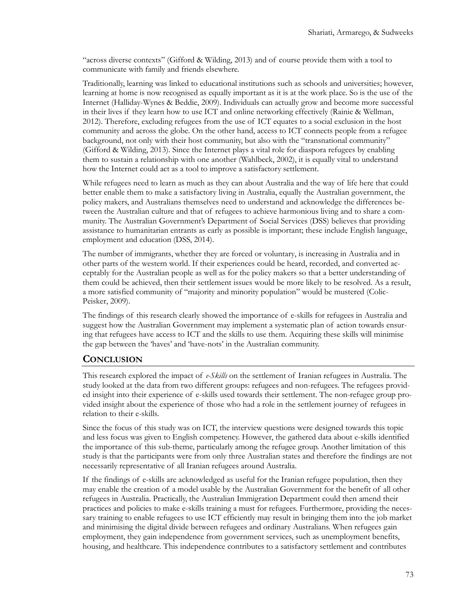"across diverse contexts" (Gifford & Wilding, 2013) and of course provide them with a tool to communicate with family and friends elsewhere.

Traditionally, learning was linked to educational institutions such as schools and universities; however, learning at home is now recognised as equally important as it is at the work place. So is the use of the Internet (Halliday-Wynes & Beddie, 2009). Individuals can actually grow and become more successful in their lives if they learn how to use ICT and online networking effectively (Rainie & Wellman, 2012). Therefore, excluding refugees from the use of ICT equates to a social exclusion in the host community and across the globe. On the other hand, access to ICT connects people from a refugee background, not only with their host community, but also with the "transnational community" (Gifford & Wilding, 2013). Since the Internet plays a vital role for diaspora refugees by enabling them to sustain a relationship with one another (Wahlbeck, 2002), it is equally vital to understand how the Internet could act as a tool to improve a satisfactory settlement.

While refugees need to learn as much as they can about Australia and the way of life here that could better enable them to make a satisfactory living in Australia, equally the Australian government, the policy makers, and Australians themselves need to understand and acknowledge the differences between the Australian culture and that of refugees to achieve harmonious living and to share a community. The Australian Government's Department of Social Services (DSS) believes that providing assistance to humanitarian entrants as early as possible is important; these include English language, employment and education (DSS, 2014).

The number of immigrants, whether they are forced or voluntary, is increasing in Australia and in other parts of the western world. If their experiences could be heard, recorded, and converted acceptably for the Australian people as well as for the policy makers so that a better understanding of them could be achieved, then their settlement issues would be more likely to be resolved. As a result, a more satisfied community of "majority and minority population" would be mustered (Colic-Peisker, 2009).

The findings of this research clearly showed the importance of e-skills for refugees in Australia and suggest how the Australian Government may implement a systematic plan of action towards ensuring that refugees have access to ICT and the skills to use them. Acquiring these skills will minimise the gap between the 'haves' and 'have-nots' in the Australian community.

## **CONCLUSION**

This research explored the impact of *e-Skills* on the settlement of Iranian refugees in Australia. The study looked at the data from two different groups: refugees and non-refugees. The refugees provided insight into their experience of e-skills used towards their settlement. The non-refugee group provided insight about the experience of those who had a role in the settlement journey of refugees in relation to their e-skills.

Since the focus of this study was on ICT, the interview questions were designed towards this topic and less focus was given to English competency. However, the gathered data about e-skills identified the importance of this sub-theme, particularly among the refugee group. Another limitation of this study is that the participants were from only three Australian states and therefore the findings are not necessarily representative of all Iranian refugees around Australia.

If the findings of e-skills are acknowledged as useful for the Iranian refugee population, then they may enable the creation of a model usable by the Australian Government for the benefit of all other refugees in Australia. Practically, the Australian Immigration Department could then amend their practices and policies to make e-skills training a must for refugees. Furthermore, providing the necessary training to enable refugees to use ICT efficiently may result in bringing them into the job market and minimising the digital divide between refugees and ordinary Australians. When refugees gain employment, they gain independence from government services, such as unemployment benefits, housing, and healthcare. This independence contributes to a satisfactory settlement and contributes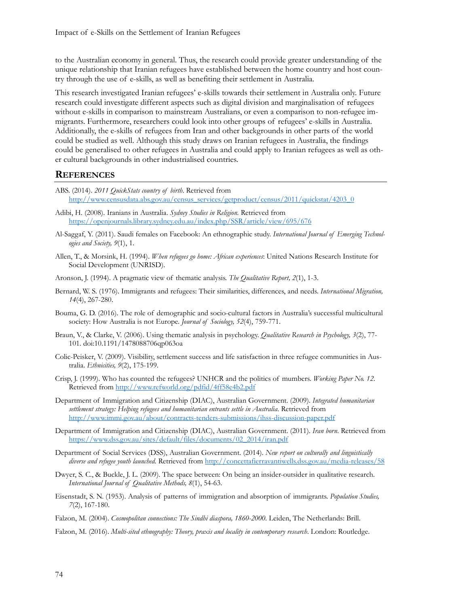to the Australian economy in general. Thus, the research could provide greater understanding of the unique relationship that Iranian refugees have established between the home country and host country through the use of e-skills, as well as benefiting their settlement in Australia.

This research investigated Iranian refugees' e-skills towards their settlement in Australia only. Future research could investigate different aspects such as digital division and marginalisation of refugees without e-skills in comparison to mainstream Australians, or even a comparison to non-refugee immigrants. Furthermore, researchers could look into other groups of refugees' e-skills in Australia. Additionally, the e-skills of refugees from Iran and other backgrounds in other parts of the world could be studied as well. Although this study draws on Iranian refugees in Australia, the findings could be generalised to other refugees in Australia and could apply to Iranian refugees as well as other cultural backgrounds in other industrialised countries.

#### **REFERENCES**

- ABS. (2014). *2011 QuickStats country of birth*. Retrieved from [http://www.censusdata.abs.gov.au/census\\_services/getproduct/census/2011/quickstat/4203\\_0](http://www.censusdata.abs.gov.au/census_services/getproduct/census/2011/quickstat/4203_0)
- Adibi, H. (2008). Iranians in Australia. *Sydney Studies in Religion*. Retrieved from <https://openjournals.library.sydney.edu.au/index.php/SSR/article/view/695/676>
- Al-Saggaf, Y. (2011). Saudi females on Facebook: An ethnographic study. *International Journal of Emerging Technologies and Society, 9*(1), 1.
- Allen, T., & Morsink, H. (1994). *When refugees go home: African experiences*: United Nations Research Institute for Social Development (UNRISD).
- Aronson, J. (1994). A pragmatic view of thematic analysis. *The Qualitative Report, 2*(1), 1-3.
- Bernard, W. S. (1976). Immigrants and refugees: Their similarities, differences, and needs. *International Migration, 14*(4), 267-280.
- Bouma, G. D. (2016). The role of demographic and socio-cultural factors in Australia's successful multicultural society: How Australia is not Europe. *Journal of Sociology, 52*(4), 759-771.
- Braun, V., & Clarke, V. (2006). Using thematic analysis in psychology. *Qualitative Research in Psychology, 3*(2), 77- 101. doi:10.1191/1478088706qp063oa
- Colic-Peisker, V. (2009). Visibility, settlement success and life satisfaction in three refugee communities in Australia. *Ethnicities, 9*(2), 175-199.
- Crisp, J. (1999). Who has counted the refugees? UNHCR and the politics of mumbers. *Working Paper No. 12*. Retrieved from<http://www.refworld.org/pdfid/4ff58e4b2.pdf>
- Department of Immigration and Citizenship (DIAC), Australian Government. (2009). *Integrated humanitarian settlement strategy: Helping refugees and humanitarian entrants settle in Australia.* Retrieved from [http://www.immi.gov.au/about/contracts](http://www.immi.gov.au/about/contracts-tenders-submissions/ihss-discussion-paper.pdf)-tenders-submissions/ihss-discussion-paper.pdf
- Department of Immigration and Citizenship (DIAC), Australian Government. (2011). *Iran born*. Retrieved from [https://www.dss.gov.au/sites/default/files/documents/02\\_2014/iran.pdf](https://www.dss.gov.au/sites/default/files/documents/02_2014/iran.pdf)
- Department of Social Services (DSS), Australian Government. (2014). *New report on culturally and linguistically diverse and refugee youth launched.* Retrieved fro[m http://concettafierravantiwells.dss.gov.au/media](http://concettafierravantiwells.dss.gov.au/media-releases/58)-releases/58
- Dwyer, S. C., & Buckle, J. L. (2009). The space between: On being an insider-outsider in qualitative research. *International Journal of Qualitative Methods, 8*(1), 54-63.
- Eisenstadt, S. N. (1953). Analysis of patterns of immigration and absorption of immigrants. *Population Studies, 7*(2), 167-180.
- Falzon, M. (2004). *Cosmopolitan connections: The Sindhi diaspora, 1860-2000.* Leiden, The Netherlands: Brill.
- Falzon, M. (2016). *Multi-sited ethnography: Theory, praxis and locality in contemporary research*. London: Routledge.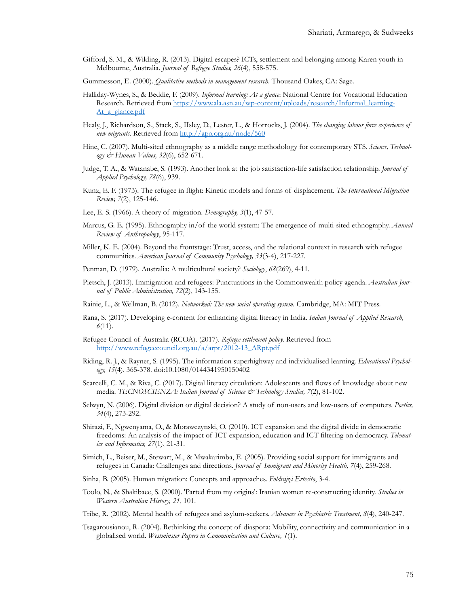- Gifford, S. M., & Wilding, R. (2013). Digital escapes? ICTs, settlement and belonging among Karen youth in Melbourne, Australia. *Journal of Refugee Studies, 26*(4), 558-575.
- Gummesson, E. (2000). *Qualitative methods in management research*. Thousand Oakes, CA: Sage.
- Halliday-Wynes, S., & Beddie, F. (2009). *Informal learning: At a glance*: National Centre for Vocational Education Research. Retrieved from https://www.ala.asn.au/wp-[content/uploads/research/Informal\\_learning](https://www.ala.asn.au/wp-content/uploads/research/Informal_learning-At_a_glance.pdf)-At a glance.pdf
- Healy, J., Richardson, S., Stack, S., IIsley, D., Lester, L., & Horrocks, J. (2004). *The changing labour force experience of new migrants.* Retrieved from<http://apo.org.au/node/560>
- Hine, C. (2007). Multi-sited ethnography as a middle range methodology for contemporary STS. *Science, Technology & Human Values, 32*(6), 652-671.
- Judge, T. A., & Watanabe, S. (1993). Another look at the job satisfaction-life satisfaction relationship. *Journal of Applied Psychology, 78*(6), 939.
- Kunz, E. F. (1973). The refugee in flight: Kinetic models and forms of displacement. *The International Migration Review, 7*(2), 125-146.
- Lee, E. S. (1966). A theory of migration. *Demography, 3*(1), 47-57.
- Marcus, G. E. (1995). Ethnography in/of the world system: The emergence of multi-sited ethnography. *Annual Review of Anthropology*, 95-117.
- Miller, K. E. (2004). Beyond the frontstage: Trust, access, and the relational context in research with refugee communities. *American Journal of Community Psychology, 33*(3-4), 217-227.
- Penman, D. (1979). Australia: A multicultural society? *Sociology*, *68*(269), 4-11.
- Pietsch, J. (2013). Immigration and refugees: Punctuations in the Commonwealth policy agenda. *Australian Journal of Public Administration, 72*(2), 143-155.
- Rainie, L., & Wellman, B. (2012). *Networked: The new social operating system.* Cambridge, MA: MIT Press.
- Rana, S. (2017). Developing e-content for enhancing digital literacy in India. *Indian Journal of Applied Research, 6*(11).
- Refugee Council of Australia (RCOA). (2017). *Refugee settlement policy.* Retrieved from [http://www.refugeecouncil.org.au/a/arpt/2012](http://www.refugeecouncil.org.au/a/arpt/2012-13_ARpt.pdf)-13\_ARpt.pdf
- Riding, R. J., & Rayner, S. (1995). The information superhighway and individualised learning. *Educational Psychology, 15*(4), 365-378. doi:10.1080/0144341950150402
- Scarcelli, C. M., & Riva, C. (2017). Digital literacy circulation: Adolescents and flows of knowledge about new media. *TECNOSCIENZA: Italian Journal of Science & Technology Studies, 7(2)*, 81-102.
- Selwyn, N. (2006). Digital division or digital decision? A study of non-users and low-users of computers. *Poetics, 34*(4), 273-292.
- Shirazi, F., Ngwenyama, O., & Morawczynski, O. (2010). ICT expansion and the digital divide in democratic freedoms: An analysis of the impact of ICT expansion, education and ICT filtering on democracy. *Telematics and Informatics, 27*(1), 21-31.
- Simich, L., Beiser, M., Stewart, M., & Mwakarimba, E. (2005). Providing social support for immigrants and refugees in Canada: Challenges and directions. *Journal of Immigrant and Minority Health, 7*(4), 259-268.
- Sinha, B. (2005). Human migration: Concepts and approaches. *Foldrajzi Ertesito*, 3-4.
- Toolo, N., & Shakibaee, S. (2000). 'Parted from my origins': Iranian women re-constructing identity. *Studies in Western Australian History, 21*, 101.
- Tribe, R. (2002). Mental health of refugees and asylum-seekers. *Advances in Psychiatric Treatment, 8*(4), 240-247.
- Tsagarousianou, R. (2004). Rethinking the concept of diaspora: Mobility, connectivity and communication in a globalised world. *Westminster Papers in Communication and Culture, 1*(1).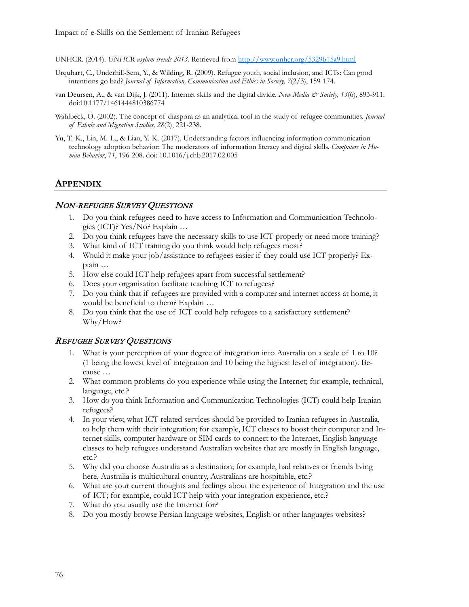UNHCR. (2014). *UNHCR asylum trends 2013.* Retrieved from<http://www.unhcr.org/5329b15a9.html>

- Urquhart, C., Underhill-Sem, Y., & Wilding, R. (2009). Refugee youth, social inclusion, and ICTs: Can good intentions go bad? *Journal of Information, Communication and Ethics in Society, 7*(2/3), 159-174.
- van Deursen, A., & van Dijk, J. (2011). Internet skills and the digital divide. *New Media & Society, 13*(6), 893-911. doi:10.1177/1461444810386774
- Wahlbeck, Ö. (2002). The concept of diaspora as an analytical tool in the study of refugee communities. *Journal of Ethnic and Migration Studies, 28*(2), 221-238.
- Yu, T.-K., Lin, M.-L., & Liao, Y.-K. (2017). Understanding factors influencing information communication technology adoption behavior: The moderators of information literacy and digital skills. *Computers in Human Behavior*, 7*1*, 196-208. doi: 10.1016/j.chb.2017.02.005

### **APPENDIX**

#### NON-REFUGEE SURVEY QUESTIONS

- 1. Do you think refugees need to have access to Information and Communication Technologies (ICT)? Yes/No? Explain …
- 2. Do you think refugees have the necessary skills to use ICT properly or need more training?
- 3. What kind of ICT training do you think would help refugees most?
- 4. Would it make your job/assistance to refugees easier if they could use ICT properly? Explain …
- 5. How else could ICT help refugees apart from successful settlement?
- 6. Does your organisation facilitate teaching ICT to refugees?
- 7. Do you think that if refugees are provided with a computer and internet access at home, it would be beneficial to them? Explain …
- 8. Do you think that the use of ICT could help refugees to a satisfactory settlement? Why/How?

#### REFUGEE SURVEY QUESTIONS

- 1. What is your perception of your degree of integration into Australia on a scale of 1 to 10? (1 being the lowest level of integration and 10 being the highest level of integration). Because …
- 2. What common problems do you experience while using the Internet; for example, technical, language, etc.?
- 3. How do you think Information and Communication Technologies (ICT) could help Iranian refugees?
- 4. In your view, what ICT related services should be provided to Iranian refugees in Australia, to help them with their integration; for example, ICT classes to boost their computer and Internet skills, computer hardware or SIM cards to connect to the Internet, English language classes to help refugees understand Australian websites that are mostly in English language, etc.?
- 5. Why did you choose Australia as a destination; for example, had relatives or friends living here, Australia is multicultural country, Australians are hospitable, etc.?
- 6. What are your current thoughts and feelings about the experience of Integration and the use of ICT; for example, could ICT help with your integration experience, etc.?
- 7. What do you usually use the Internet for?
- 8. Do you mostly browse Persian language websites, English or other languages websites?